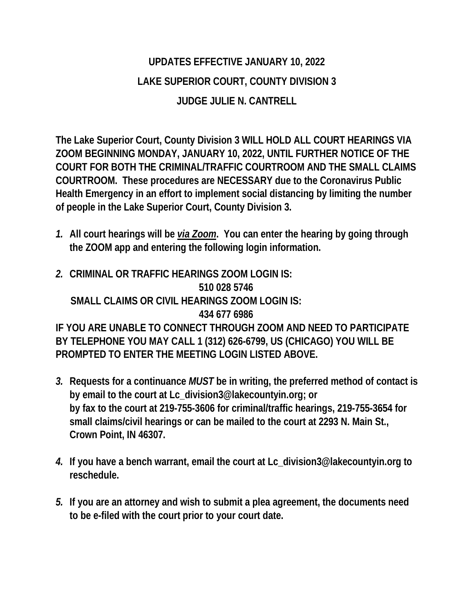## **UPDATES EFFECTIVE JANUARY 10, 2022 LAKE SUPERIOR COURT, COUNTY DIVISION 3 JUDGE JULIE N. CANTRELL**

**The Lake Superior Court, County Division 3 WILL HOLD ALL COURT HEARINGS VIA ZOOM BEGINNING MONDAY, JANUARY 10, 2022, UNTIL FURTHER NOTICE OF THE COURT FOR BOTH THE CRIMINAL/TRAFFIC COURTROOM AND THE SMALL CLAIMS COURTROOM. These procedures are NECESSARY due to the Coronavirus Public Health Emergency in an effort to implement social distancing by limiting the number of people in the Lake Superior Court, County Division 3.** 

- *1.* **All court hearings will be** *via Zoom***. You can enter the hearing by going through the ZOOM app and entering the following login information.**
- *2.* **CRIMINAL OR TRAFFIC HEARINGS ZOOM LOGIN IS: 510 028 5746 SMALL CLAIMS OR CIVIL HEARINGS ZOOM LOGIN IS: 434 677 6986 IF YOU ARE UNABLE TO CONNECT THROUGH ZOOM AND NEED TO PARTICIPATE BY TELEPHONE YOU MAY CALL 1 (312) 626-6799, US (CHICAGO) YOU WILL BE PROMPTED TO ENTER THE MEETING LOGIN LISTED ABOVE.**
- *3.* **Requests for a continuance** *MUST* **be in writing, the preferred method of contact is by email to the court at Lc\_division3@lakecountyin.org; or by fax to the court at 219-755-3606 for criminal/traffic hearings, 219-755-3654 for small claims/civil hearings or can be mailed to the court at 2293 N. Main St., Crown Point, IN 46307.**
- *4.* **If you have a bench warrant, email the court at Lc\_division3@lakecountyin.org to reschedule.**
- *5.* **If you are an attorney and wish to submit a plea agreement, the documents need to be e-filed with the court prior to your court date.**